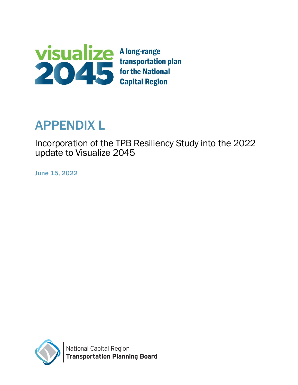

# APPENDIX L

Incorporation of the TPB Resiliency Study into the 2022 update to Visualize 2045

June 15, 2022

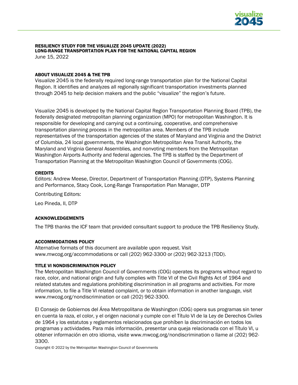

# RESILIENCY STUDY FOR THE VISUALIZE 2045 UPDATE (2022) LONG-RANGE TRANSPORTATION PLAN FOR THE NATIONAL CAPITAL REGION

June 15, 2022

#### ABOUT VISUALIZE 2045 & THE TPB

Visualize 2045 is the federally required long-range transportation plan for the National Capital Region. It identifies and analyzes all regionally significant transportation investments planned through 2045 to help decision makers and the public "visualize" the region's future.

Visualize 2045 is developed by the National Capital Region Transportation Planning Board (TPB), the federally designated metropolitan planning organization (MPO) for metropolitan Washington. It is responsible for developing and carrying out a continuing, cooperative, and comprehensive transportation planning process in the metropolitan area. Members of the TPB include representatives of the transportation agencies of the states of Maryland and Virginia and the District of Columbia, 24 local governments, the Washington Metropolitan Area Transit Authority, the Maryland and Virginia General Assemblies, and nonvoting members from the Metropolitan Washington Airports Authority and federal agencies. The TPB is staffed by the Department of Transportation Planning at the Metropolitan Washington Council of Governments (COG).

#### **CREDITS**

Editors: Andrew Meese, Director, Department of Transportation Planning (DTP), Systems Planning and Performance, Stacy Cook, Long-Range Transportation Plan Manager, DTP

Contributing Editors:

Leo Pineda, II, DTP

#### ACKNOWLEDGEMENTS

The TPB thanks the ICF team that provided consultant support to produce the TPB Resiliency Study.

#### ACCOMMODATIONS POLICY

Alternative formats of this document are available upon request. Visit [www.mwcog.org/accommodations](http://www.mwcog.org/accommodations) or call (202) 962-3300 or (202) 962-3213 (TDD).

#### TITLE VI NONDISCRIMINATION POLICY

The Metropolitan Washington Council of Governments (COG) operates its programs without regard to race, color, and national origin and fully complies with Title VI of the Civil Rights Act of 1964 and related statutes and regulations prohibiting discrimination in all programs and activities. For more information, to file a Title VI related complaint, or to obtain information in another language, visit www.mwcog.org/nondiscrimination or call (202) 962-3300.

El Consejo de Gobiernos del Área Metropolitana de Washington (COG) opera sus programas sin tener en cuenta la raza, el color, y el origen nacional y cumple con el Título VI de la Ley de Derechos Civiles de 1964 y los estatutos y reglamentos relacionados que prohíben la discriminación en todos los programas y actividades. Para más información, presentar una queja relacionada con el Título VI, u obtener información en otro idioma, visite www.mwcog.org/nondiscrimination o llame al (202) 962- 3300.

Copyright © 2022 by the Metropolitan Washington Council of Governments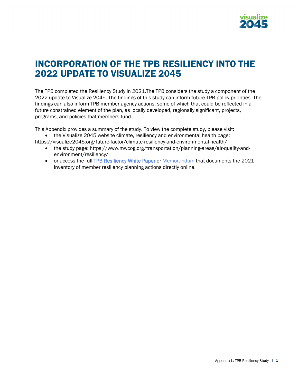

# INCORPORATION OF THE TPB RESILIENCY INTO THE 2022 UPDATE TO VISUALIZE 2045

The TPB completed the Resiliency Study in 2021.The TPB considers the study a component of the 2022 update to Visualize 2045. The findings of this study can inform future TPB policy priorities. The findings can also inform TPB member agency actions, some of which that could be reflected in a future constrained element of the plan, as locally developed, regionally significant, projects, programs, and policies that members fund.

This Appendix provides a summary of the study. To view the complete study, please visit:

- the Visualize 2045 website climate, resiliency and environmental health page:
- <https://visualize2045.org/future-factor/climate-resiliency-and-environmental-health/>
	- the study page: [https://www.mwcog.org/transportation/planning-areas/air-quality-and](https://www.mwcog.org/transportation/planning-areas/air-quality-and-environment/resiliency/)[environment/resiliency/](https://www.mwcog.org/transportation/planning-areas/air-quality-and-environment/resiliency/)
	- or access the full [TPB Resiliency White Paper](https://www.mwcog.org/assets/1/28/TPB_Resiliency_WhitePaper.pdf) or Memorandum [that documents the 2021](https://www.mwcog.org/assets/1/28/TPB_Resiliency_-_Memo1.pdf) [inventory](https://www.mwcog.org/assets/1/28/TPB_Resiliency_-_Memo1.pdf) of member resiliency planning actions directly [online.](https://www.mwcog.org/file.aspx?D=ME18fN7BtKa%2bllkfsZ%2fZu8OoK8gjhob6MSNFrkCX%2fqA%3d&A=6CyU6zHtH63RQpvcNZZ41HdQoblvCs3BvGGddc1Ldh0%3d)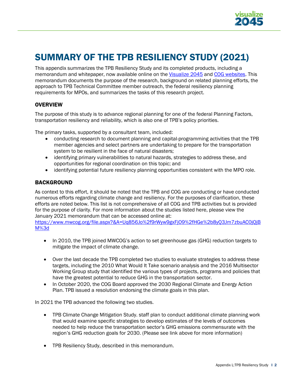

# SUMMARY OF THE TPB RESILIENCY STUDY (2021)

This appendix summarizes the TPB Resiliency Study and its completed products, including a memorandum and whitepaper, now available online on the [Visualize 2045](https://visualize2045.org/future-factor/climate-resiliency-and-environmental-health/) and [COG websites.](https://www.mwcog.org/transportation/planning-areas/air-quality-and-environment/air-quality-conformity/) This memorandum documents the purpose of the research, background on related planning efforts, the approach to TPB Technical Committee member outreach, the federal resiliency planning requirements for MPOs, and summarizes the tasks of this research project.

# **OVERVIEW**

The purpose of this study is to advance regional planning for one of the federal Planning Factors, transportation resiliency and reliability, which is also one of TPB's policy priorities.

The primary tasks, supported by a consultant team, included:

- conducting research to document planning and capital-programming activities that the TPB member agencies and select partners are undertaking to prepare for the transportation system to be resilient in the face of natural disasters;
- identifying primary vulnerabilities to natural hazards, strategies to address these, and opportunities for regional coordination on this topic; and
- identifying potential future resiliency planning opportunities consistent with the MPO role.

### BACKGROUND

As context to this effort, it should be noted that the TPB and COG are conducting or have conducted numerous efforts regarding climate change and resiliency. For the purposes of clarification, these efforts are noted below. This list is not comprehensive of all COG and TPB activities but is provided for the purpose of clarity. For more information about the studies listed here, please view the January 2021 memorandum that can be accessed online at:

[https://www.mwcog.org/file.aspx?&A=Uq856Jo%2f9rWyw9gxFjO9%2fHGe%2b8yQ3Jm7zbuAC0jQjB](https://www.mwcog.org/file.aspx?&A=Uq856Jo%2f9rWyw9gxFjO9%2fHGe%2b8yQ3Jm7zbuAC0jQjBM%3d) [M%3d](https://www.mwcog.org/file.aspx?&A=Uq856Jo%2f9rWyw9gxFjO9%2fHGe%2b8yQ3Jm7zbuAC0jQjBM%3d)

- In 2010, the TPB joined MWCOG's action to set greenhouse gas (GHG) reduction targets to mitigate the impact of climate change.
- Over the last decade the TPB completed two studies to evaluate strategies to address these targets, including the 2010 What Would It Take scenario analysis and the 2016 Multisector Working Group study that identified the various types of projects, programs and policies that have the greatest potential to reduce GHG in the transportation sector.
- In October 2020, the COG Board approved the 2030 Regional Climate and Energy Action Plan. TPB issued a resolution endorsing the climate goals in this plan.

In 2021 the TPB advanced the following two studies.

- TPB Climate Change Mitigation Study. staff plan to conduct additional climate planning work that would examine specific strategies to develop estimates of the levels of outcomes needed to help reduce the transportation sector's GHG emissions commensurate with the region's GHG reduction goals for 2030. (Please see link above for more information)
- TPB Resiliency Study, described in this memorandum.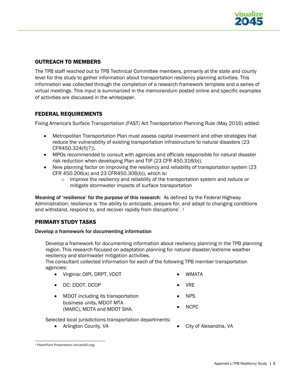

# OUTREACH TO MEMBERS

The TPB staff reached out to TPB Technical Committee members, primarily at the state and county level for this study to gather information about transportation resiliency planning activities. This information was collected through the completion of a research framework template and a series of virtual meetings. This input is summarized in the memorandum posted online and specific examples of activities are discussed in the whitepaper.

# FEDERAL REQUIREMENTS

Fixing America's Surface Transportation (FAST) Act Transportation Planning Rule (May 2016) added:

- Metropolitan Transportation Plan must assess capital investment and other strategies that reduce the vulnerability of existing transportation infrastructure to natural disasters (23 CFR450.324(f)(7)).
- MPOs recommended to consult with agencies and officials responsible for natural disaster risk reduction when developing Plan and TIP (23 CFR 450.316(b)).
- New planning factor on improving the resiliency and reliability of transportation system (23 CFR 450.206(a) and 23 CFR450.306(b)), which is:
	- $\circ$  Improve the resiliency and reliability of the transportation system and reduce or mitigate stormwater impacts of surface transportation

Meaning of 'resilience' for the purpose of this research: As defined by the Federal Highway Administration; resilience is 'the ability to anticipate, prepare for, and adapt to changing conditions and withstand, respond to, and recover rapidly from disruptions'. [1](#page-4-0)

# PRIMARY STUDY TASKS

#### Develop a framework for documenting information

Develop a framework for documenting information about resiliency planning in the TPB planning region. This research focused on adaptation planning for natural disaster/extreme weather resiliency and stormwater mitigation activities.

The consultant collected information for each of the following TPB member transportation agencies:

• Virginia: OIPI, DRPT, VDOT

• WMATA

• DC: DDOT, DCOP

- VRE
- MDOT including its transportation business units, MDOT MTA (MARC), MDTA and MDOT SHA.
- NPS
- NCPC

Selected local jurisdictions transportation departments:

• Arlington County, VA

• City of Alexandria, VA

<span id="page-4-0"></span><sup>1</sup> [PowerPoint Presentation \(trb-adc60.org\)](https://trb-adc60.org/wp-content/uploads/2019/02/FHWA-Resilience-Programs-Policies-Projects_Holsinger.pdf)